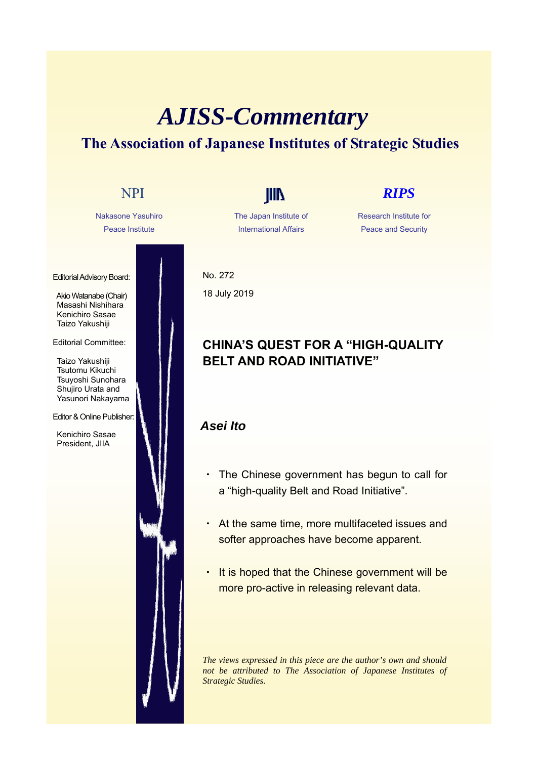# *AJISS-Commentary* **The Association of Japanese Institutes of Strategic Studies**



The Japan Institute of International Affairs

Research Institute for Peace and Security

No. 272 18 July 2019

## **CHINA'S QUEST FOR A "HIGH-QUALITY BELT AND ROAD INITIATIVE"**

### *Asei Ito*

- The Chinese government has begun to call for a "high-quality Belt and Road Initiative".
- At the same time, more multifaceted issues and softer approaches have become apparent.
- ・ It is hoped that the Chinese government will be more pro-active in releasing relevant data.

*The views expressed in this piece are the author's own and should not be attributed to The Association of Japanese Institutes of Strategic Studies.*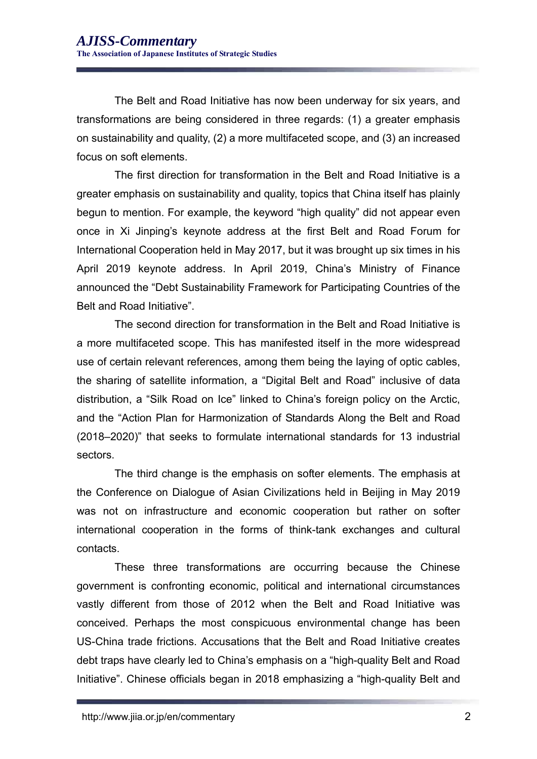The Belt and Road Initiative has now been underway for six years, and transformations are being considered in three regards: (1) a greater emphasis on sustainability and quality, (2) a more multifaceted scope, and (3) an increased focus on soft elements.

The first direction for transformation in the Belt and Road Initiative is a greater emphasis on sustainability and quality, topics that China itself has plainly begun to mention. For example, the keyword "high quality" did not appear even once in Xi Jinping's keynote address at the first Belt and Road Forum for International Cooperation held in May 2017, but it was brought up six times in his April 2019 keynote address. In April 2019, China's Ministry of Finance announced the "Debt Sustainability Framework for Participating Countries of the Belt and Road Initiative".

The second direction for transformation in the Belt and Road Initiative is a more multifaceted scope. This has manifested itself in the more widespread use of certain relevant references, among them being the laying of optic cables, the sharing of satellite information, a "Digital Belt and Road" inclusive of data distribution, a "Silk Road on Ice" linked to China's foreign policy on the Arctic, and the "Action Plan for Harmonization of Standards Along the Belt and Road (2018–2020)" that seeks to formulate international standards for 13 industrial sectors.

The third change is the emphasis on softer elements. The emphasis at the Conference on Dialogue of Asian Civilizations held in Beijing in May 2019 was not on infrastructure and economic cooperation but rather on softer international cooperation in the forms of think-tank exchanges and cultural contacts.

These three transformations are occurring because the Chinese government is confronting economic, political and international circumstances vastly different from those of 2012 when the Belt and Road Initiative was conceived. Perhaps the most conspicuous environmental change has been US-China trade frictions. Accusations that the Belt and Road Initiative creates debt traps have clearly led to China's emphasis on a "high-quality Belt and Road Initiative". Chinese officials began in 2018 emphasizing a "high-quality Belt and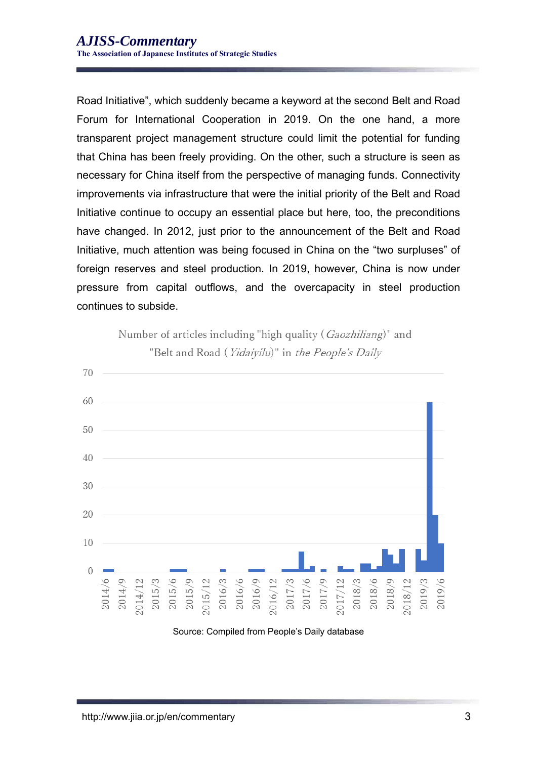Road Initiative", which suddenly became a keyword at the second Belt and Road Forum for International Cooperation in 2019. On the one hand, a more transparent project management structure could limit the potential for funding that China has been freely providing. On the other, such a structure is seen as necessary for China itself from the perspective of managing funds. Connectivity improvements via infrastructure that were the initial priority of the Belt and Road Initiative continue to occupy an essential place but here, too, the preconditions have changed. In 2012, just prior to the announcement of the Belt and Road Initiative, much attention was being focused in China on the "two surpluses" of foreign reserves and steel production. In 2019, however, China is now under pressure from capital outflows, and the overcapacity in steel production continues to subside.



Number of articles including "high quality (Gaozhiliang)" and "Belt and Road (Yidaiyilu)" in the People's Daily

### Source: Compiled from People's Daily database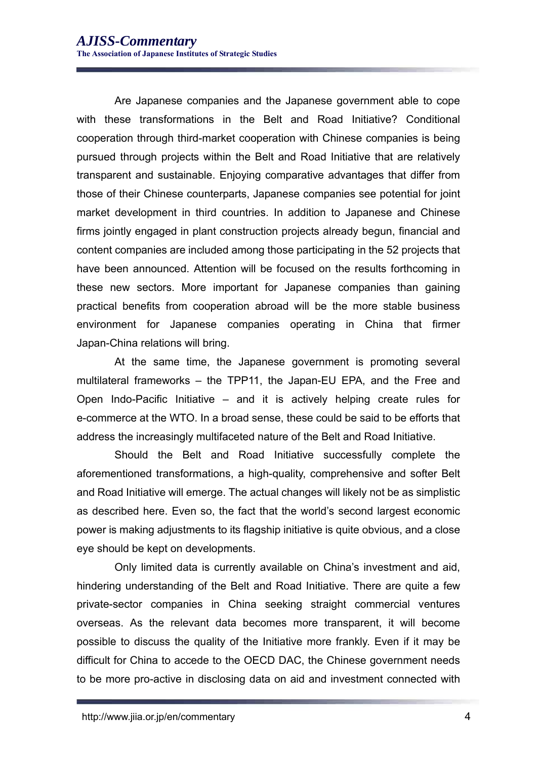Are Japanese companies and the Japanese government able to cope with these transformations in the Belt and Road Initiative? Conditional cooperation through third-market cooperation with Chinese companies is being pursued through projects within the Belt and Road Initiative that are relatively transparent and sustainable. Enjoying comparative advantages that differ from those of their Chinese counterparts, Japanese companies see potential for joint market development in third countries. In addition to Japanese and Chinese firms jointly engaged in plant construction projects already begun, financial and content companies are included among those participating in the 52 projects that have been announced. Attention will be focused on the results forthcoming in these new sectors. More important for Japanese companies than gaining practical benefits from cooperation abroad will be the more stable business environment for Japanese companies operating in China that firmer Japan-China relations will bring.

At the same time, the Japanese government is promoting several multilateral frameworks – the TPP11, the Japan-EU EPA, and the Free and Open Indo-Pacific Initiative – and it is actively helping create rules for e-commerce at the WTO. In a broad sense, these could be said to be efforts that address the increasingly multifaceted nature of the Belt and Road Initiative.

Should the Belt and Road Initiative successfully complete the aforementioned transformations, a high-quality, comprehensive and softer Belt and Road Initiative will emerge. The actual changes will likely not be as simplistic as described here. Even so, the fact that the world's second largest economic power is making adjustments to its flagship initiative is quite obvious, and a close eye should be kept on developments.

Only limited data is currently available on China's investment and aid, hindering understanding of the Belt and Road Initiative. There are quite a few private-sector companies in China seeking straight commercial ventures overseas. As the relevant data becomes more transparent, it will become possible to discuss the quality of the Initiative more frankly. Even if it may be difficult for China to accede to the OECD DAC, the Chinese government needs to be more pro-active in disclosing data on aid and investment connected with